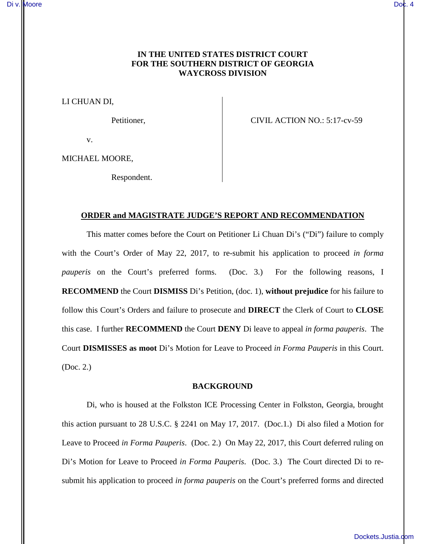# **IN THE UNITED STATES DISTRICT COURT FOR THE SOUTHERN DISTRICT OF GEORGIA WAYCROSS DIVISION**

LI CHUAN DI,

Petitioner, CIVIL ACTION NO.: 5:17-cv-59

v.

MICHAEL MOORE,

Respondent.

# **ORDER and MAGISTRATE JUDGE'S REPORT AND RECOMMENDATION**

This matter comes before the Court on Petitioner Li Chuan Di's ("Di") failure to comply with the Court's Order of May 22, 2017, to re-submit his application to proceed *in forma pauperis* on the Court's preferred forms. (Doc. 3.) For the following reasons, I **RECOMMEND** the Court **DISMISS** Di's Petition, (doc. 1), **without prejudice** for his failure to follow this Court's Orders and failure to prosecute and **DIRECT** the Clerk of Court to **CLOSE**  this case. I further **RECOMMEND** the Court **DENY** Di leave to appeal *in forma pauperis*. The Court **DISMISSES as moot** Di's Motion for Leave to Proceed *in Forma Pauperis* in this Court. (Doc. 2.)

#### **BACKGROUND**

Di, who is housed at the Folkston ICE Processing Center in Folkston, Georgia, brought this action pursuant to 28 U.S.C. § 2241 on May 17, 2017. (Doc.1.) Di also filed a Motion for Leave to Proceed *in Forma Pauperis*. (Doc. 2.) On May 22, 2017, this Court deferred ruling on Di's Motion for Leave to Proceed *in Forma Pauperis*. (Doc. 3.) The Court directed Di to resubmit his application to proceed *in forma pauperis* on the Court's preferred forms and directed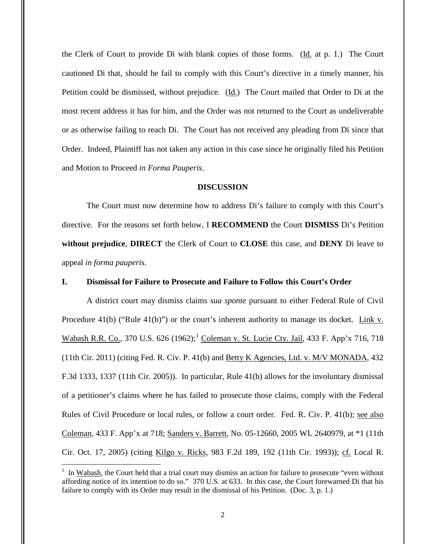the Clerk of Court to provide Di with blank copies of those forms. (Id. at p. 1.) The Court cautioned Di that, should he fail to comply with this Court's directive in a timely manner, his Petition could be dismissed, without prejudice. (Id.) The Court mailed that Order to Di at the most recent address it has for him, and the Order was not returned to the Court as undeliverable or as otherwise failing to reach Di. The Court has not received any pleading from Di since that Order. Indeed, Plaintiff has not taken any action in this case since he originally filed his Petition and Motion to Proceed *in Forma Pauperis*.

# **DISCUSSION**

The Court must now determine how to address Di's failure to comply with this Court's directive. For the reasons set forth below, I **RECOMMEND** the Court **DISMISS** Di's Petition **without prejudice**, **DIRECT** the Clerk of Court to **CLOSE** this case, and **DENY** Di leave to appeal *in forma pauperis*.

## **I. Dismissal for Failure to Prosecute and Failure to Follow this Court's Order**

A district court may dismiss claims *sua sponte* pursuant to either Federal Rule of Civil Procedure 41(b) ("Rule 41(b)") or the court's inherent authority to manage its docket. Link v. Wabash R.R. Co., 370 U.S. 626 (1962);<sup>1</sup> Coleman v. St. Lucie Cty. Jail, 433 F. App'x 716, 718 (11th Cir. 2011) (citing Fed. R. Civ. P. 41(b) and Betty K Agencies, Ltd. v. M/V MONADA, 432 F.3d 1333, 1337 (11th Cir. 2005)). In particular, Rule 41(b) allows for the involuntary dismissal of a petitioner's claims where he has failed to prosecute those claims, comply with the Federal Rules of Civil Procedure or local rules, or follow a court order. Fed. R. Civ. P. 41(b); see also Coleman, 433 F. App'x at 718; Sanders v. Barrett, No. 05-12660, 2005 WL 2640979, at \*1 (11th Cir. Oct. 17, 2005) (citing Kilgo v. Ricks, 983 F.2d 189, 192 (11th Cir. 1993)); cf. Local R.

 $\overline{a}$ 

<sup>&</sup>lt;sup>1</sup> In Wabash, the Court held that a trial court may dismiss an action for failure to prosecute "even without affording notice of its intention to do so." 370 U.S. at 633. In this case, the Court forewarned Di that his failure to comply with its Order may result in the dismissal of his Petition. (Doc. 3, p. 1.)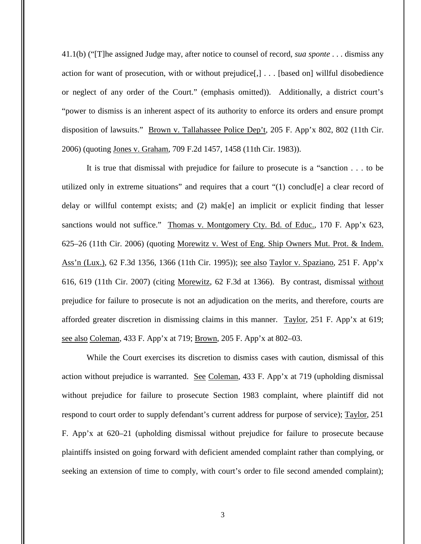41.1(b) ("[T]he assigned Judge may, after notice to counsel of record, *sua sponte* . . . dismiss any action for want of prosecution, with or without prejudice[,] . . . [based on] willful disobedience or neglect of any order of the Court." (emphasis omitted)). Additionally, a district court's "power to dismiss is an inherent aspect of its authority to enforce its orders and ensure prompt disposition of lawsuits." Brown v. Tallahassee Police Dep't, 205 F. App'x 802, 802 (11th Cir. 2006) (quoting Jones v. Graham, 709 F.2d 1457, 1458 (11th Cir. 1983)).

It is true that dismissal with prejudice for failure to prosecute is a "sanction . . . to be utilized only in extreme situations" and requires that a court "(1) conclud[e] a clear record of delay or willful contempt exists; and (2) mak[e] an implicit or explicit finding that lesser sanctions would not suffice." Thomas v. Montgomery Cty. Bd. of Educ., 170 F. App'x 623, 625–26 (11th Cir. 2006) (quoting Morewitz v. West of Eng. Ship Owners Mut. Prot. & Indem. Ass'n (Lux.), 62 F.3d 1356, 1366 (11th Cir. 1995)); see also Taylor v. Spaziano, 251 F. App'x 616, 619 (11th Cir. 2007) (citing Morewitz, 62 F.3d at 1366). By contrast, dismissal without prejudice for failure to prosecute is not an adjudication on the merits, and therefore, courts are afforded greater discretion in dismissing claims in this manner. Taylor, 251 F. App'x at 619; see also Coleman, 433 F. App'x at 719; Brown, 205 F. App'x at 802–03.

While the Court exercises its discretion to dismiss cases with caution, dismissal of this action without prejudice is warranted. See Coleman, 433 F. App'x at 719 (upholding dismissal without prejudice for failure to prosecute Section 1983 complaint, where plaintiff did not respond to court order to supply defendant's current address for purpose of service); Taylor, 251 F. App'x at 620–21 (upholding dismissal without prejudice for failure to prosecute because plaintiffs insisted on going forward with deficient amended complaint rather than complying, or seeking an extension of time to comply, with court's order to file second amended complaint);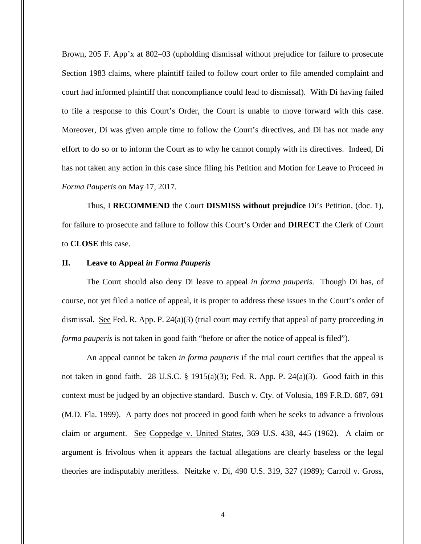Brown, 205 F. App'x at 802–03 (upholding dismissal without prejudice for failure to prosecute Section 1983 claims, where plaintiff failed to follow court order to file amended complaint and court had informed plaintiff that noncompliance could lead to dismissal). With Di having failed to file a response to this Court's Order, the Court is unable to move forward with this case. Moreover, Di was given ample time to follow the Court's directives, and Di has not made any effort to do so or to inform the Court as to why he cannot comply with its directives. Indeed, Di has not taken any action in this case since filing his Petition and Motion for Leave to Proceed *in Forma Pauperis* on May 17, 2017.

Thus, I **RECOMMEND** the Court **DISMISS without prejudice** Di's Petition, (doc. 1), for failure to prosecute and failure to follow this Court's Order and **DIRECT** the Clerk of Court to **CLOSE** this case.

## **II. Leave to Appeal** *in Forma Pauperis*

The Court should also deny Di leave to appeal *in forma pauperis*. Though Di has, of course, not yet filed a notice of appeal, it is proper to address these issues in the Court's order of dismissal. See Fed. R. App. P. 24(a)(3) (trial court may certify that appeal of party proceeding *in forma pauperis* is not taken in good faith "before or after the notice of appeal is filed").

An appeal cannot be taken *in forma pauperis* if the trial court certifies that the appeal is not taken in good faith. 28 U.S.C. § 1915(a)(3); Fed. R. App. P. 24(a)(3). Good faith in this context must be judged by an objective standard. Busch v. Cty. of Volusia, 189 F.R.D. 687, 691 (M.D. Fla. 1999). A party does not proceed in good faith when he seeks to advance a frivolous claim or argument. See Coppedge v. United States, 369 U.S. 438, 445 (1962). A claim or argument is frivolous when it appears the factual allegations are clearly baseless or the legal theories are indisputably meritless. Neitzke v. Di, 490 U.S. 319, 327 (1989); Carroll v. Gross,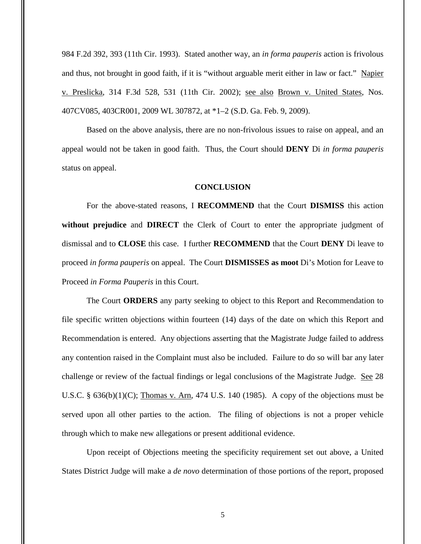984 F.2d 392, 393 (11th Cir. 1993). Stated another way, an *in forma pauperis* action is frivolous and thus, not brought in good faith, if it is "without arguable merit either in law or fact." Napier v. Preslicka, 314 F.3d 528, 531 (11th Cir. 2002); see also Brown v. United States, Nos. 407CV085, 403CR001, 2009 WL 307872, at \*1–2 (S.D. Ga. Feb. 9, 2009).

Based on the above analysis, there are no non-frivolous issues to raise on appeal, and an appeal would not be taken in good faith. Thus, the Court should **DENY** Di *in forma pauperis* status on appeal.

#### **CONCLUSION**

For the above-stated reasons, I **RECOMMEND** that the Court **DISMISS** this action **without prejudice** and **DIRECT** the Clerk of Court to enter the appropriate judgment of dismissal and to **CLOSE** this case. I further **RECOMMEND** that the Court **DENY** Di leave to proceed *in forma pauperis* on appeal. The Court **DISMISSES as moot** Di's Motion for Leave to Proceed *in Forma Pauperis* in this Court.

The Court **ORDERS** any party seeking to object to this Report and Recommendation to file specific written objections within fourteen (14) days of the date on which this Report and Recommendation is entered. Any objections asserting that the Magistrate Judge failed to address any contention raised in the Complaint must also be included. Failure to do so will bar any later challenge or review of the factual findings or legal conclusions of the Magistrate Judge. See 28 U.S.C. §  $636(b)(1)(C)$ ; Thomas v. Arn, 474 U.S. 140 (1985). A copy of the objections must be served upon all other parties to the action. The filing of objections is not a proper vehicle through which to make new allegations or present additional evidence.

Upon receipt of Objections meeting the specificity requirement set out above, a United States District Judge will make a *de novo* determination of those portions of the report, proposed